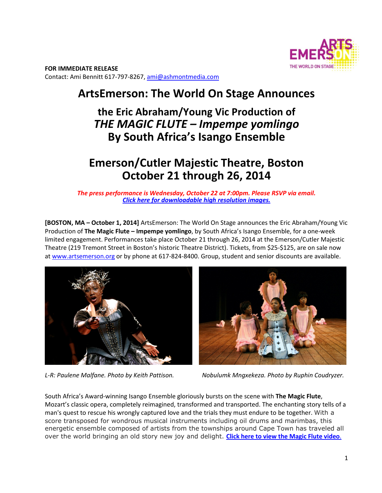

**FOR IMMEDIATE RELEASE**  Contact: Ami Bennitt 617‐797‐8267, ami@ashmontmedia.com

# **ArtsEmerson: The World On Stage Announces**

## **the Eric Abraham/Young Vic Production of**  *THE MAGIC FLUTE – Impempe yomlingo* **By South Africa's Isango Ensemble**

# **Emerson/Cutler Majestic Theatre, Boston October 21 through 26, 2014**

*The press performance is Wednesday, October 22 at 7:00pm. Please RSVP via email. Click here for downloadable high resolution images.*

**[BOSTON, MA – October 1, 2014]** ArtsEmerson: The World On Stage announces the Eric Abraham/Young Vic Production of **The Magic Flute – Impempe yomlingo**, by South Africa's Isango Ensemble, for a one‐week limited engagement. Performances take place October 21 through 26, 2014 at the Emerson/Cutler Majestic Theatre (219 Tremont Street in Boston's historic Theatre District). Tickets, from \$25‐\$125, are on sale now at www.artsemerson.org or by phone at 617-824-8400. Group, student and senior discounts are available.





*L-R: Paulene Malfane. Photo by Keith Pattison. Nobulumk Mngxekeza. Photo by Ruphin Coudryzer.* 

South Africa's Award‐winning Isango Ensemble gloriously bursts on the scene with **The Magic Flute**, Mozart's classic opera, completely reimagined, transformed and transported. The enchanting story tells of a man's quest to rescue his wrongly captured love and the trials they must endure to be together. With a score transposed for wondrous musical instruments including oil drums and marimbas, this energetic ensemble composed of artists from the townships around Cape Town has traveled all over the world bringing an old story new joy and delight. **Click here to view the Magic Flute video**.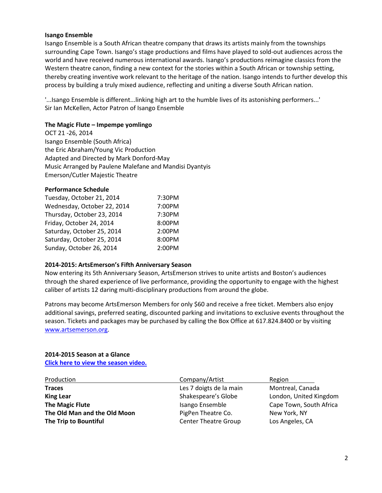#### **Isango Ensemble**

Isango Ensemble is a South African theatre company that draws its artists mainly from the townships surrounding Cape Town. Isango's stage productions and films have played to sold‐out audiences across the world and have received numerous international awards. Isango's productions reimagine classics from the Western theatre canon, finding a new context for the stories within a South African or township setting, thereby creating inventive work relevant to the heritage of the nation. Isango intends to further develop this process by building a truly mixed audience, reflecting and uniting a diverse South African nation.

'...Isango Ensemble is different...linking high art to the humble lives of its astonishing performers...' Sir Ian McKellen, Actor Patron of Isango Ensemble

#### **The Magic Flute – Impempe yomlingo**

OCT 21 ‐26, 2014 Isango Ensemble (South Africa) the Eric Abraham/Young Vic Production Adapted and Directed by Mark Donford‐May Music Arranged by Paulene Malefane and Mandisi Dyantyis Emerson/Cutler Majestic Theatre

### **Performance Schedule**

| Tuesday, October 21, 2014   | 7:30PM |
|-----------------------------|--------|
| Wednesday, October 22, 2014 | 7:00PM |
| Thursday, October 23, 2014  | 7:30PM |
| Friday, October 24, 2014    | 8:00PM |
| Saturday, October 25, 2014  | 2:00PM |
| Saturday, October 25, 2014  | 8:00PM |
| Sunday, October 26, 2014    | 2:00PM |

#### **2014-2015: ArtsEmerson's Fifth Anniversary Season**

Now entering its 5th Anniversary Season, ArtsEmerson strives to unite artists and Boston's audiences through the shared experience of live performance, providing the opportunity to engage with the highest caliber of artists 12 daring multi‐disciplinary productions from around the globe.

Patrons may become ArtsEmerson Members for only \$60 and receive a free ticket. Members also enjoy additional savings, preferred seating, discounted parking and invitations to exclusive events throughout the season. Tickets and packages may be purchased by calling the Box Office at 617.824.8400 or by visiting www.artsemerson.org.

## **2014-2015 Season at a Glance**

**Click here to view the season video.**

| Production                   | Company/Artist              | Region                  |
|------------------------------|-----------------------------|-------------------------|
| <b>Traces</b>                | Les 7 doigts de la main     | Montreal, Canada        |
| <b>King Lear</b>             | Shakespeare's Globe         | London, United Kingdom  |
| <b>The Magic Flute</b>       | Isango Ensemble             | Cape Town, South Africa |
| The Old Man and the Old Moon | PigPen Theatre Co.          | New York, NY            |
| The Trip to Bountiful        | <b>Center Theatre Group</b> | Los Angeles, CA         |